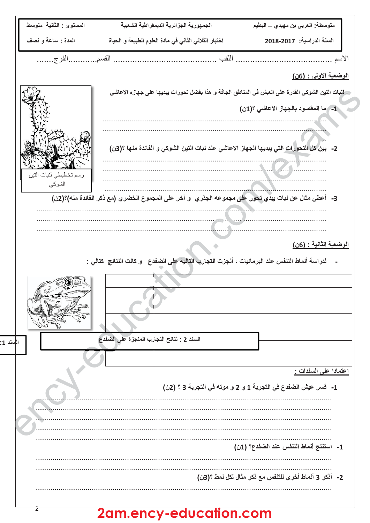| المستوى : الثانية متوسط | الجمهورية الجزائرية الديمقراطية الشعبية                                                                    | متوسطة: العربي بن مهيدي ـــ البطيم                                |
|-------------------------|------------------------------------------------------------------------------------------------------------|-------------------------------------------------------------------|
| المدة : ساعة و نصف      | اختبار الثلاثي الثاني في مادة العلوم الطبيعة و الحياة                                                      | السنة الدراسية: 2017-2018                                         |
| القسمالفوج              |                                                                                                            |                                                                   |
|                         |                                                                                                            | ا <u>لوضعية الاولى : (6ن)</u>                                     |
|                         | - لنبات التين الشوكي القدرة على العيش في المناطق الجافة و هذا بفضل تحورات ببديها على جهازه الاعاش <i>ي</i> |                                                                   |
|                         |                                                                                                            | 1- ما المقصود بالجهاز الاعاشي ؟(1ن)                               |
|                         |                                                                                                            |                                                                   |
|                         | 2-   بين كل التحورات التي يبديها الجهاز الاعاشي عند نبات التين الشوكي و الفائدة منها ؟(3ن)                 |                                                                   |
| رسم تخطيطي لنبات التين  |                                                                                                            |                                                                   |
| الشوكى                  |                                                                                                            |                                                                   |
|                         | 3-  أعطي مثال عن نبات يبدي تحور على مجموعه الجذري  و آخر على المجموع الخضري (مع ذكر الفائدة منه)؟(2ن)      |                                                                   |
|                         |                                                                                                            |                                                                   |
|                         |                                                                                                            |                                                                   |
|                         | لدراسة أنماط التنفس عند البرمائيات ، أنجزت التجارب التالية على الضفدع   و كانت النتائج  كتالي :            | الوضعية الثانية : (6ن)                                            |
|                         |                                                                                                            |                                                                   |
|                         |                                                                                                            |                                                                   |
| المسند 1:               | السند 2 : نتائج التجارب المنجزة على الضفدع                                                                 |                                                                   |
|                         |                                                                                                            |                                                                   |
|                         |                                                                                                            | اعتمادا على السندات <u>:</u>                                      |
|                         |                                                                                                            | 1-   فسر  عيش الضفدع في التجربة 1 و  2 و موته في التجربة 3 ؟ (2ن) |
|                         |                                                                                                            |                                                                   |
|                         |                                                                                                            |                                                                   |
|                         |                                                                                                            | 1- استنتج أنماط التنفس عند الضفدع؟ (1ن)                           |
|                         |                                                                                                            | 2- أذكر 3 أنماط أخرى للتنفس مع ذكر مثال لكل نمط ؟(3ن)             |
| z                       | 2am.ency-education.com                                                                                     |                                                                   |